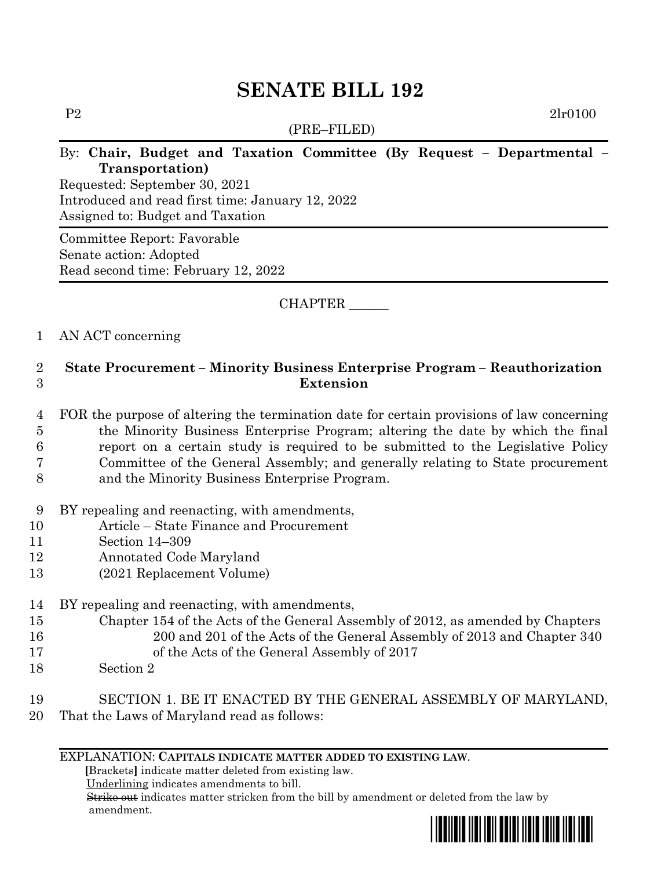# **SENATE BILL 192**

(PRE–FILED)

P2 2lr0100

# By: **Chair, Budget and Taxation Committee (By Request – Departmental – Transportation)**

Requested: September 30, 2021 Introduced and read first time: January 12, 2022 Assigned to: Budget and Taxation

Committee Report: Favorable Senate action: Adopted Read second time: February 12, 2022

## CHAPTER \_\_\_\_\_\_

### 1 AN ACT concerning

# 2 **State Procurement – Minority Business Enterprise Program – Reauthorization**  3 **Extension**

- 4 FOR the purpose of altering the termination date for certain provisions of law concerning 5 the Minority Business Enterprise Program; altering the date by which the final 6 report on a certain study is required to be submitted to the Legislative Policy 7 Committee of the General Assembly; and generally relating to State procurement 8 and the Minority Business Enterprise Program.
- 9 BY repealing and reenacting, with amendments,
- 10 Article State Finance and Procurement
- 11 Section 14–309
- 12 Annotated Code Maryland
- 13 (2021 Replacement Volume)
- 14 BY repealing and reenacting, with amendments,
- 15 Chapter 154 of the Acts of the General Assembly of 2012, as amended by Chapters 16 200 and 201 of the Acts of the General Assembly of 2013 and Chapter 340
- 17 of the Acts of the General Assembly of 2017
- 18 Section 2

### 19 SECTION 1. BE IT ENACTED BY THE GENERAL ASSEMBLY OF MARYLAND, 20 That the Laws of Maryland read as follows:

#### EXPLANATION: **CAPITALS INDICATE MATTER ADDED TO EXISTING LAW**.

 **[**Brackets**]** indicate matter deleted from existing law.

Underlining indicates amendments to bill.

 Strike out indicates matter stricken from the bill by amendment or deleted from the law by amendment.